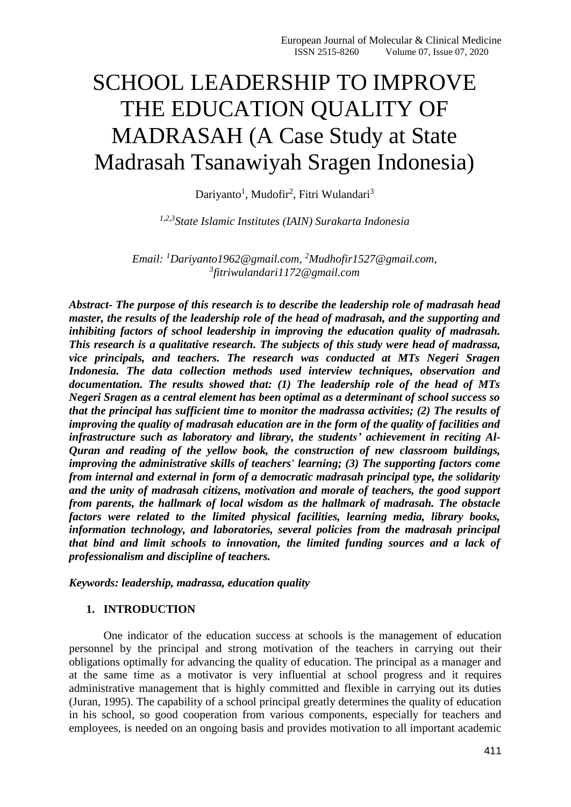# SCHOOL LEADERSHIP TO IMPROVE THE EDUCATION QUALITY OF MADRASAH (A Case Study at State Madrasah Tsanawiyah Sragen Indonesia)

Dariyanto<sup>1</sup>, Mudofir<sup>2</sup>, Fitri Wulandari<sup>3</sup>

*1,2,3State Islamic Institutes (IAIN) Surakarta Indonesia*

*Email: <sup>1</sup>[Dariyanto1962@gmail.com,](mailto:Dariyanto1962@gmail.com) <sup>2</sup>[Mudhofir1527@gmail.com,](mailto:Mudhofir1527@gmail.com) 3 [fitriwulandari1172@gmail.com](mailto:fitriwulandari1172@gmail.com)*

*Abstract- The purpose of this research is to describe the leadership role of madrasah head master, the results of the leadership role of the head of madrasah, and the supporting and inhibiting factors of school leadership in improving the education quality of madrasah. This research is a qualitative research. The subjects of this study were head of madrassa, vice principals, and teachers. The research was conducted at MTs Negeri Sragen Indonesia. The data collection methods used interview techniques, observation and documentation. The results showed that: (1) The leadership role of the head of MTs Negeri Sragen as a central element has been optimal as a determinant of school success so that the principal has sufficient time to monitor the madrassa activities; (2) The results of improving the quality of madrasah education are in the form of the quality of facilities and infrastructure such as laboratory and library, the students' achievement in reciting Al-Quran and reading of the yellow book, the construction of new classroom buildings, improving the administrative skills of teachers' learning; (3) The supporting factors come from internal and external in form of a democratic madrasah principal type, the solidarity and the unity of madrasah citizens, motivation and morale of teachers, the good support from parents, the hallmark of local wisdom as the hallmark of madrasah. The obstacle factors were related to the limited physical facilities, learning media, library books, information technology, and laboratories, several policies from the madrasah principal that bind and limit schools to innovation, the limited funding sources and a lack of professionalism and discipline of teachers.*

*Keywords: leadership, madrassa, education quality*

# **1. INTRODUCTION**

One indicator of the education success at schools is the management of education personnel by the principal and strong motivation of the teachers in carrying out their obligations optimally for advancing the quality of education. The principal as a manager and at the same time as a motivator is very influential at school progress and it requires administrative management that is highly committed and flexible in carrying out its duties (Juran, 1995). The capability of a school principal greatly determines the quality of education in his school, so good cooperation from various components, especially for teachers and employees, is needed on an ongoing basis and provides motivation to all important academic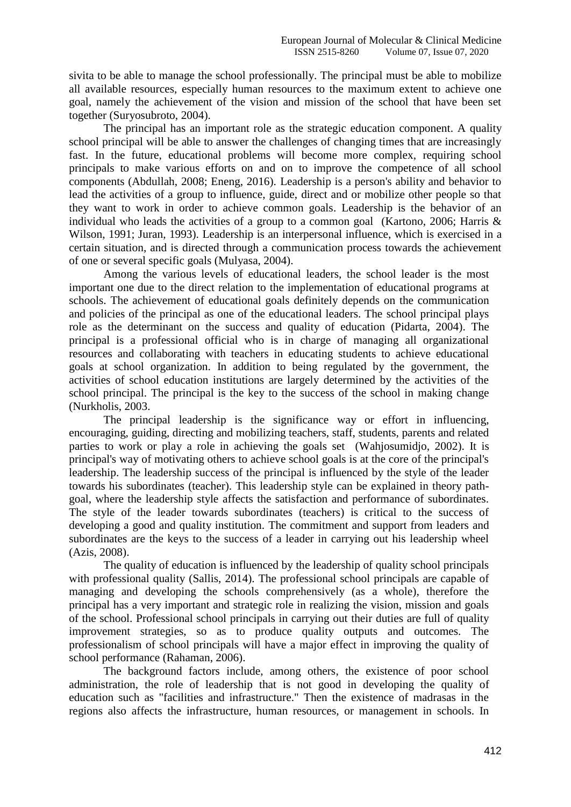sivita to be able to manage the school professionally. The principal must be able to mobilize all available resources, especially human resources to the maximum extent to achieve one goal, namely the achievement of the vision and mission of the school that have been set together (Suryosubroto, 2004).

The principal has an important role as the strategic education component. A quality school principal will be able to answer the challenges of changing times that are increasingly fast. In the future, educational problems will become more complex, requiring school principals to make various efforts on and on to improve the competence of all school components (Abdullah, 2008; Eneng, 2016). Leadership is a person's ability and behavior to lead the activities of a group to influence, guide, direct and or mobilize other people so that they want to work in order to achieve common goals. Leadership is the behavior of an individual who leads the activities of a group to a common goal (Kartono, 2006; Harris & Wilson, 1991; Juran, 1993). Leadership is an interpersonal influence, which is exercised in a certain situation, and is directed through a communication process towards the achievement of one or several specific goals (Mulyasa, 2004).

Among the various levels of educational leaders, the school leader is the most important one due to the direct relation to the implementation of educational programs at schools. The achievement of educational goals definitely depends on the communication and policies of the principal as one of the educational leaders. The school principal plays role as the determinant on the success and quality of education (Pidarta, 2004). The principal is a professional official who is in charge of managing all organizational resources and collaborating with teachers in educating students to achieve educational goals at school organization. In addition to being regulated by the government, the activities of school education institutions are largely determined by the activities of the school principal. The principal is the key to the success of the school in making change (Nurkholis, 2003.

The principal leadership is the significance way or effort in influencing, encouraging, guiding, directing and mobilizing teachers, staff, students, parents and related parties to work or play a role in achieving the goals set (Wahjosumidjo, 2002). It is principal's way of motivating others to achieve school goals is at the core of the principal's leadership. The leadership success of the principal is influenced by the style of the leader towards his subordinates (teacher). This leadership style can be explained in theory pathgoal, where the leadership style affects the satisfaction and performance of subordinates. The style of the leader towards subordinates (teachers) is critical to the success of developing a good and quality institution. The commitment and support from leaders and subordinates are the keys to the success of a leader in carrying out his leadership wheel (Azis, 2008).

The quality of education is influenced by the leadership of quality school principals with professional quality (Sallis, 2014). The professional school principals are capable of managing and developing the schools comprehensively (as a whole), therefore the principal has a very important and strategic role in realizing the vision, mission and goals of the school. Professional school principals in carrying out their duties are full of quality improvement strategies, so as to produce quality outputs and outcomes. The professionalism of school principals will have a major effect in improving the quality of school performance (Rahaman, 2006).

The background factors include, among others, the existence of poor school administration, the role of leadership that is not good in developing the quality of education such as "facilities and infrastructure." Then the existence of madrasas in the regions also affects the infrastructure, human resources, or management in schools. In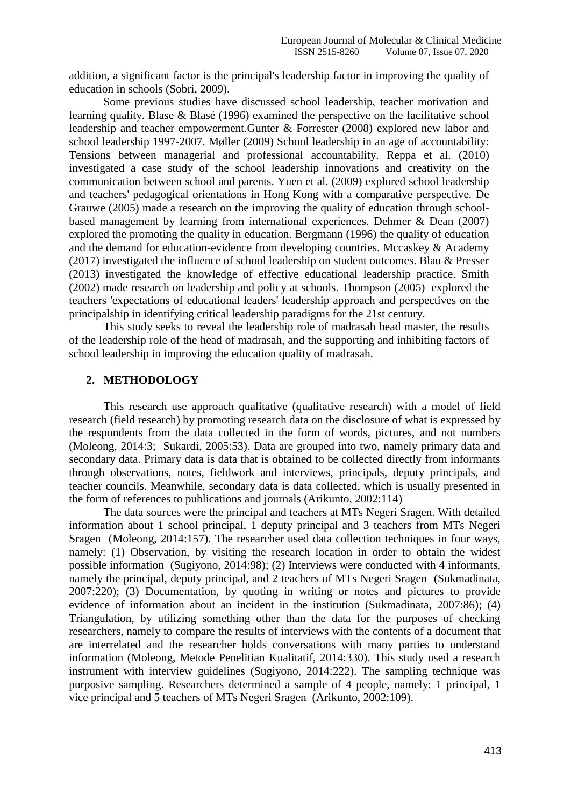addition, a significant factor is the principal's leadership factor in improving the quality of education in schools (Sobri, 2009).

Some previous studies have discussed school leadership, teacher motivation and learning quality. Blase & Blasé (1996) examined the perspective on the facilitative school leadership and teacher empowerment.Gunter & Forrester (2008) explored new labor and school leadership 1997-2007. Møller (2009) School leadership in an age of accountability: Tensions between managerial and professional accountability. Reppa et al. (2010) investigated a case study of the school leadership innovations and creativity on the communication between school and parents. Yuen et al. (2009) explored school leadership and teachers' pedagogical orientations in Hong Kong with a comparative perspective. De Grauwe (2005) made a research on the improving the quality of education through schoolbased management by learning from international experiences. Dehmer & Dean (2007) explored the promoting the quality in education. Bergmann (1996) the quality of education and the demand for education-evidence from developing countries. Mccaskey & Academy (2017) investigated the influence of school leadership on student outcomes. Blau & Presser (2013) investigated the knowledge of effective educational leadership practice. Smith (2002) made research on leadership and policy at schools. Thompson (2005) explored the teachers 'expectations of educational leaders' leadership approach and perspectives on the principalship in identifying critical leadership paradigms for the 21st century.

This study seeks to reveal the leadership role of madrasah head master, the results of the leadership role of the head of madrasah, and the supporting and inhibiting factors of school leadership in improving the education quality of madrasah.

## **2. METHODOLOGY**

This research use approach qualitative (qualitative research) with a model of field research (field research) by promoting research data on the disclosure of what is expressed by the respondents from the data collected in the form of words, pictures, and not numbers (Moleong, 2014:3; Sukardi, 2005:53). Data are grouped into two, namely primary data and secondary data. Primary data is data that is obtained to be collected directly from informants through observations, notes, fieldwork and interviews, principals, deputy principals, and teacher councils. Meanwhile, secondary data is data collected, which is usually presented in the form of references to publications and journals (Arikunto, 2002:114)

The data sources were the principal and teachers at MTs Negeri Sragen. With detailed information about 1 school principal, 1 deputy principal and 3 teachers from MTs Negeri Sragen (Moleong, 2014:157). The researcher used data collection techniques in four ways, namely: (1) Observation, by visiting the research location in order to obtain the widest possible information (Sugiyono, 2014:98); (2) Interviews were conducted with 4 informants, namely the principal, deputy principal, and 2 teachers of MTs Negeri Sragen (Sukmadinata, 2007:220); (3) Documentation, by quoting in writing or notes and pictures to provide evidence of information about an incident in the institution (Sukmadinata, 2007:86); (4) Triangulation, by utilizing something other than the data for the purposes of checking researchers, namely to compare the results of interviews with the contents of a document that are interrelated and the researcher holds conversations with many parties to understand information (Moleong, Metode Penelitian Kualitatif, 2014:330). This study used a research instrument with interview guidelines (Sugiyono, 2014:222). The sampling technique was purposive sampling. Researchers determined a sample of 4 people, namely: 1 principal, 1 vice principal and 5 teachers of MTs Negeri Sragen (Arikunto, 2002:109).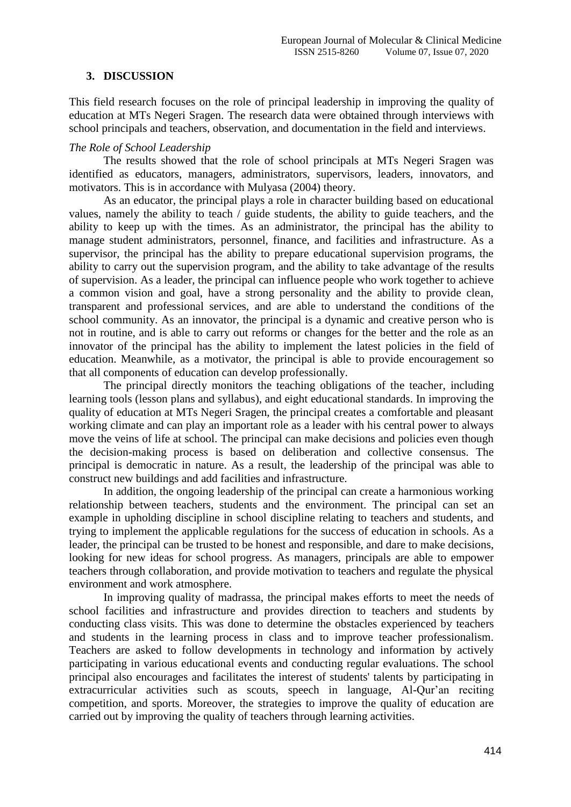## **3. DISCUSSION**

This field research focuses on the role of principal leadership in improving the quality of education at MTs Negeri Sragen. The research data were obtained through interviews with school principals and teachers, observation, and documentation in the field and interviews.

#### *The Role of School Leadership*

The results showed that the role of school principals at MTs Negeri Sragen was identified as educators, managers, administrators, supervisors, leaders, innovators, and motivators. This is in accordance with Mulyasa (2004) theory.

As an educator, the principal plays a role in character building based on educational values, namely the ability to teach / guide students, the ability to guide teachers, and the ability to keep up with the times. As an administrator, the principal has the ability to manage student administrators, personnel, finance, and facilities and infrastructure. As a supervisor, the principal has the ability to prepare educational supervision programs, the ability to carry out the supervision program, and the ability to take advantage of the results of supervision. As a leader, the principal can influence people who work together to achieve a common vision and goal, have a strong personality and the ability to provide clean, transparent and professional services, and are able to understand the conditions of the school community. As an innovator, the principal is a dynamic and creative person who is not in routine, and is able to carry out reforms or changes for the better and the role as an innovator of the principal has the ability to implement the latest policies in the field of education. Meanwhile, as a motivator, the principal is able to provide encouragement so that all components of education can develop professionally.

The principal directly monitors the teaching obligations of the teacher, including learning tools (lesson plans and syllabus), and eight educational standards. In improving the quality of education at MTs Negeri Sragen, the principal creates a comfortable and pleasant working climate and can play an important role as a leader with his central power to always move the veins of life at school. The principal can make decisions and policies even though the decision-making process is based on deliberation and collective consensus. The principal is democratic in nature. As a result, the leadership of the principal was able to construct new buildings and add facilities and infrastructure.

In addition, the ongoing leadership of the principal can create a harmonious working relationship between teachers, students and the environment. The principal can set an example in upholding discipline in school discipline relating to teachers and students, and trying to implement the applicable regulations for the success of education in schools. As a leader, the principal can be trusted to be honest and responsible, and dare to make decisions, looking for new ideas for school progress. As managers, principals are able to empower teachers through collaboration, and provide motivation to teachers and regulate the physical environment and work atmosphere.

In improving quality of madrassa, the principal makes efforts to meet the needs of school facilities and infrastructure and provides direction to teachers and students by conducting class visits. This was done to determine the obstacles experienced by teachers and students in the learning process in class and to improve teacher professionalism. Teachers are asked to follow developments in technology and information by actively participating in various educational events and conducting regular evaluations. The school principal also encourages and facilitates the interest of students' talents by participating in extracurricular activities such as scouts, speech in language, Al-Qur'an reciting competition, and sports. Moreover, the strategies to improve the quality of education are carried out by improving the quality of teachers through learning activities.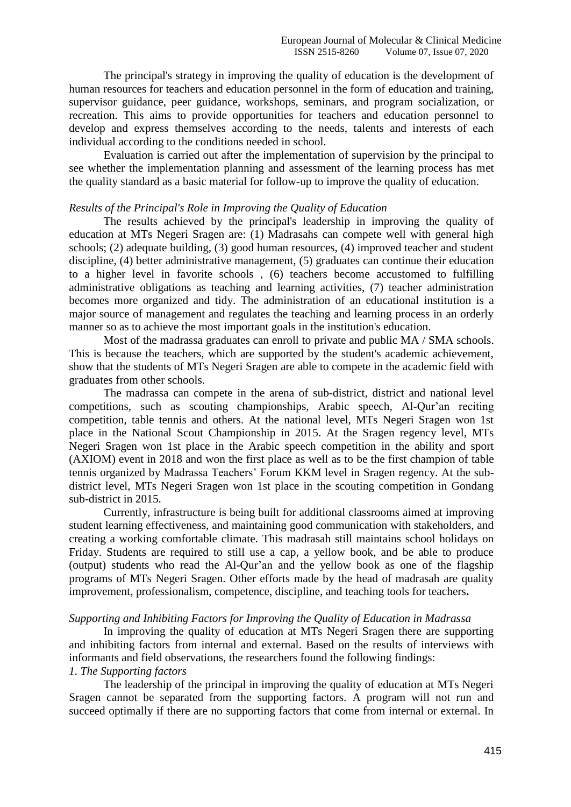The principal's strategy in improving the quality of education is the development of human resources for teachers and education personnel in the form of education and training, supervisor guidance, peer guidance, workshops, seminars, and program socialization, or recreation. This aims to provide opportunities for teachers and education personnel to develop and express themselves according to the needs, talents and interests of each individual according to the conditions needed in school.

Evaluation is carried out after the implementation of supervision by the principal to see whether the implementation planning and assessment of the learning process has met the quality standard as a basic material for follow-up to improve the quality of education.

#### *Results of the Principal's Role in Improving the Quality of Education*

The results achieved by the principal's leadership in improving the quality of education at MTs Negeri Sragen are: (1) Madrasahs can compete well with general high schools; (2) adequate building, (3) good human resources, (4) improved teacher and student discipline, (4) better administrative management, (5) graduates can continue their education to a higher level in favorite schools , (6) teachers become accustomed to fulfilling administrative obligations as teaching and learning activities, (7) teacher administration becomes more organized and tidy. The administration of an educational institution is a major source of management and regulates the teaching and learning process in an orderly manner so as to achieve the most important goals in the institution's education.

Most of the madrassa graduates can enroll to private and public MA / SMA schools. This is because the teachers, which are supported by the student's academic achievement, show that the students of MTs Negeri Sragen are able to compete in the academic field with graduates from other schools.

The madrassa can compete in the arena of sub-district, district and national level competitions, such as scouting championships, Arabic speech, Al-Qur'an reciting competition, table tennis and others. At the national level, MTs Negeri Sragen won 1st place in the National Scout Championship in 2015. At the Sragen regency level, MTs Negeri Sragen won 1st place in the Arabic speech competition in the ability and sport (AXIOM) event in 2018 and won the first place as well as to be the first champion of table tennis organized by Madrassa Teachers' Forum KKM level in Sragen regency. At the subdistrict level, MTs Negeri Sragen won 1st place in the scouting competition in Gondang sub-district in 2015.

Currently, infrastructure is being built for additional classrooms aimed at improving student learning effectiveness, and maintaining good communication with stakeholders, and creating a working comfortable climate. This madrasah still maintains school holidays on Friday. Students are required to still use a cap, a yellow book, and be able to produce (output) students who read the Al-Qur'an and the yellow book as one of the flagship programs of MTs Negeri Sragen. Other efforts made by the head of madrasah are quality improvement, professionalism, competence, discipline, and teaching tools for teachers**.**

# *Supporting and Inhibiting Factors for Improving the Quality of Education in Madrassa*

In improving the quality of education at MTs Negeri Sragen there are supporting and inhibiting factors from internal and external. Based on the results of interviews with informants and field observations, the researchers found the following findings: *1. The Supporting factors* 

The leadership of the principal in improving the quality of education at MTs Negeri Sragen cannot be separated from the supporting factors. A program will not run and succeed optimally if there are no supporting factors that come from internal or external. In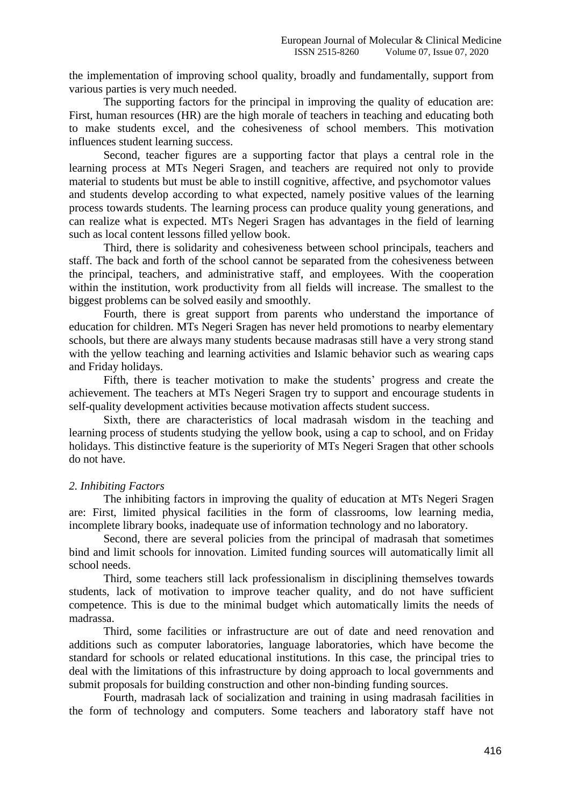the implementation of improving school quality, broadly and fundamentally, support from various parties is very much needed.

The supporting factors for the principal in improving the quality of education are: First, human resources (HR) are the high morale of teachers in teaching and educating both to make students excel, and the cohesiveness of school members. This motivation influences student learning success.

Second, teacher figures are a supporting factor that plays a central role in the learning process at MTs Negeri Sragen, and teachers are required not only to provide material to students but must be able to instill cognitive, affective, and psychomotor values and students develop according to what expected, namely positive values of the learning process towards students. The learning process can produce quality young generations, and can realize what is expected. MTs Negeri Sragen has advantages in the field of learning such as local content lessons filled yellow book.

Third, there is solidarity and cohesiveness between school principals, teachers and staff. The back and forth of the school cannot be separated from the cohesiveness between the principal, teachers, and administrative staff, and employees. With the cooperation within the institution, work productivity from all fields will increase. The smallest to the biggest problems can be solved easily and smoothly.

Fourth, there is great support from parents who understand the importance of education for children. MTs Negeri Sragen has never held promotions to nearby elementary schools, but there are always many students because madrasas still have a very strong stand with the yellow teaching and learning activities and Islamic behavior such as wearing caps and Friday holidays.

Fifth, there is teacher motivation to make the students' progress and create the achievement. The teachers at MTs Negeri Sragen try to support and encourage students in self-quality development activities because motivation affects student success.

Sixth, there are characteristics of local madrasah wisdom in the teaching and learning process of students studying the yellow book, using a cap to school, and on Friday holidays. This distinctive feature is the superiority of MTs Negeri Sragen that other schools do not have.

#### *2. Inhibiting Factors*

The inhibiting factors in improving the quality of education at MTs Negeri Sragen are: First, limited physical facilities in the form of classrooms, low learning media, incomplete library books, inadequate use of information technology and no laboratory.

Second, there are several policies from the principal of madrasah that sometimes bind and limit schools for innovation. Limited funding sources will automatically limit all school needs.

Third, some teachers still lack professionalism in disciplining themselves towards students, lack of motivation to improve teacher quality, and do not have sufficient competence. This is due to the minimal budget which automatically limits the needs of madrassa.

Third, some facilities or infrastructure are out of date and need renovation and additions such as computer laboratories, language laboratories, which have become the standard for schools or related educational institutions. In this case, the principal tries to deal with the limitations of this infrastructure by doing approach to local governments and submit proposals for building construction and other non-binding funding sources.

Fourth, madrasah lack of socialization and training in using madrasah facilities in the form of technology and computers. Some teachers and laboratory staff have not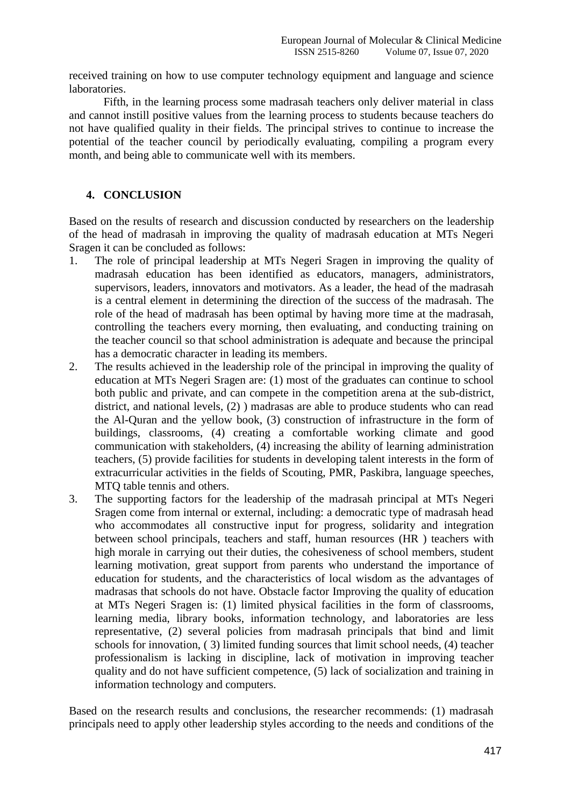received training on how to use computer technology equipment and language and science laboratories.

Fifth, in the learning process some madrasah teachers only deliver material in class and cannot instill positive values from the learning process to students because teachers do not have qualified quality in their fields. The principal strives to continue to increase the potential of the teacher council by periodically evaluating, compiling a program every month, and being able to communicate well with its members.

# **4. CONCLUSION**

Based on the results of research and discussion conducted by researchers on the leadership of the head of madrasah in improving the quality of madrasah education at MTs Negeri Sragen it can be concluded as follows:

- 1. The role of principal leadership at MTs Negeri Sragen in improving the quality of madrasah education has been identified as educators, managers, administrators, supervisors, leaders, innovators and motivators. As a leader, the head of the madrasah is a central element in determining the direction of the success of the madrasah. The role of the head of madrasah has been optimal by having more time at the madrasah, controlling the teachers every morning, then evaluating, and conducting training on the teacher council so that school administration is adequate and because the principal has a democratic character in leading its members.
- 2. The results achieved in the leadership role of the principal in improving the quality of education at MTs Negeri Sragen are: (1) most of the graduates can continue to school both public and private, and can compete in the competition arena at the sub-district, district, and national levels, (2) ) madrasas are able to produce students who can read the Al-Quran and the yellow book, (3) construction of infrastructure in the form of buildings, classrooms, (4) creating a comfortable working climate and good communication with stakeholders, (4) increasing the ability of learning administration teachers, (5) provide facilities for students in developing talent interests in the form of extracurricular activities in the fields of Scouting, PMR, Paskibra, language speeches, MTQ table tennis and others.
- 3. The supporting factors for the leadership of the madrasah principal at MTs Negeri Sragen come from internal or external, including: a democratic type of madrasah head who accommodates all constructive input for progress, solidarity and integration between school principals, teachers and staff, human resources (HR ) teachers with high morale in carrying out their duties, the cohesiveness of school members, student learning motivation, great support from parents who understand the importance of education for students, and the characteristics of local wisdom as the advantages of madrasas that schools do not have. Obstacle factor Improving the quality of education at MTs Negeri Sragen is: (1) limited physical facilities in the form of classrooms, learning media, library books, information technology, and laboratories are less representative, (2) several policies from madrasah principals that bind and limit schools for innovation, ( 3) limited funding sources that limit school needs, (4) teacher professionalism is lacking in discipline, lack of motivation in improving teacher quality and do not have sufficient competence, (5) lack of socialization and training in information technology and computers.

Based on the research results and conclusions, the researcher recommends: (1) madrasah principals need to apply other leadership styles according to the needs and conditions of the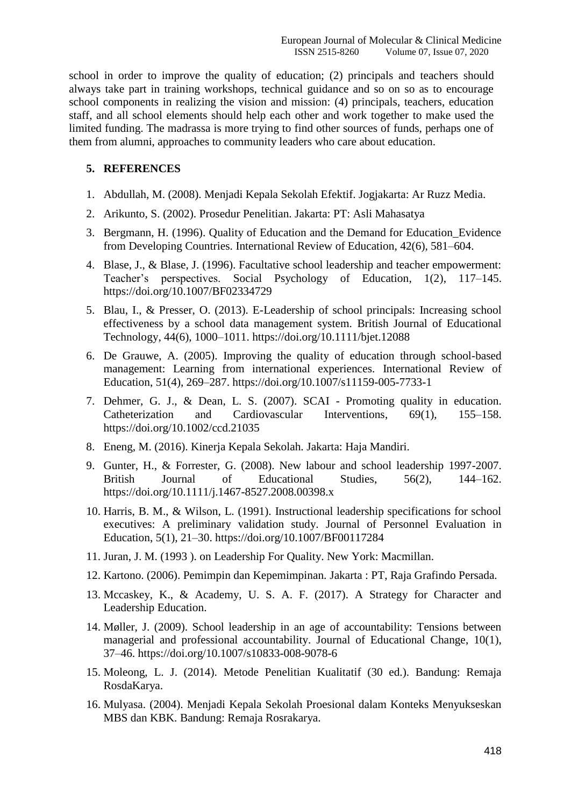school in order to improve the quality of education; (2) principals and teachers should always take part in training workshops, technical guidance and so on so as to encourage school components in realizing the vision and mission: (4) principals, teachers, education staff, and all school elements should help each other and work together to make used the limited funding. The madrassa is more trying to find other sources of funds, perhaps one of them from alumni, approaches to community leaders who care about education.

# **5. REFERENCES**

- 1. Abdullah, M. (2008). Menjadi Kepala Sekolah Efektif. Jogjakarta: Ar Ruzz Media.
- 2. Arikunto, S. (2002). Prosedur Penelitian. Jakarta: PT: Asli Mahasatya
- 3. Bergmann, H. (1996). Quality of Education and the Demand for Education\_Evidence from Developing Countries. International Review of Education, 42(6), 581–604.
- 4. Blase, J., & Blase, J. (1996). Facultative school leadership and teacher empowerment: Teacher's perspectives. Social Psychology of Education, 1(2), 117–145. https://doi.org/10.1007/BF02334729
- 5. Blau, I., & Presser, O. (2013). E-Leadership of school principals: Increasing school effectiveness by a school data management system. British Journal of Educational Technology, 44(6), 1000–1011. https://doi.org/10.1111/bjet.12088
- 6. De Grauwe, A. (2005). Improving the quality of education through school-based management: Learning from international experiences. International Review of Education, 51(4), 269–287. https://doi.org/10.1007/s11159-005-7733-1
- 7. Dehmer, G. J., & Dean, L. S. (2007). SCAI Promoting quality in education. Catheterization and Cardiovascular Interventions, 69(1), 155–158. https://doi.org/10.1002/ccd.21035
- 8. Eneng, M. (2016). Kinerja Kepala Sekolah. Jakarta: Haja Mandiri.
- 9. Gunter, H., & Forrester, G. (2008). New labour and school leadership 1997-2007. British Journal of Educational Studies, 56(2), 144–162. https://doi.org/10.1111/j.1467-8527.2008.00398.x
- 10. Harris, B. M., & Wilson, L. (1991). Instructional leadership specifications for school executives: A preliminary validation study. Journal of Personnel Evaluation in Education, 5(1), 21–30. https://doi.org/10.1007/BF00117284
- 11. Juran, J. M. (1993 ). on Leadership For Quality. New York: Macmillan.
- 12. Kartono. (2006). Pemimpin dan Kepemimpinan. Jakarta : PT, Raja Grafindo Persada.
- 13. Mccaskey, K., & Academy, U. S. A. F. (2017). A Strategy for Character and Leadership Education.
- 14. Møller, J. (2009). School leadership in an age of accountability: Tensions between managerial and professional accountability. Journal of Educational Change, 10(1), 37–46. https://doi.org/10.1007/s10833-008-9078-6
- 15. Moleong, L. J. (2014). Metode Penelitian Kualitatif (30 ed.). Bandung: Remaja RosdaKarya.
- 16. Mulyasa. (2004). Menjadi Kepala Sekolah Proesional dalam Konteks Menyukseskan MBS dan KBK. Bandung: Remaja Rosrakarya.